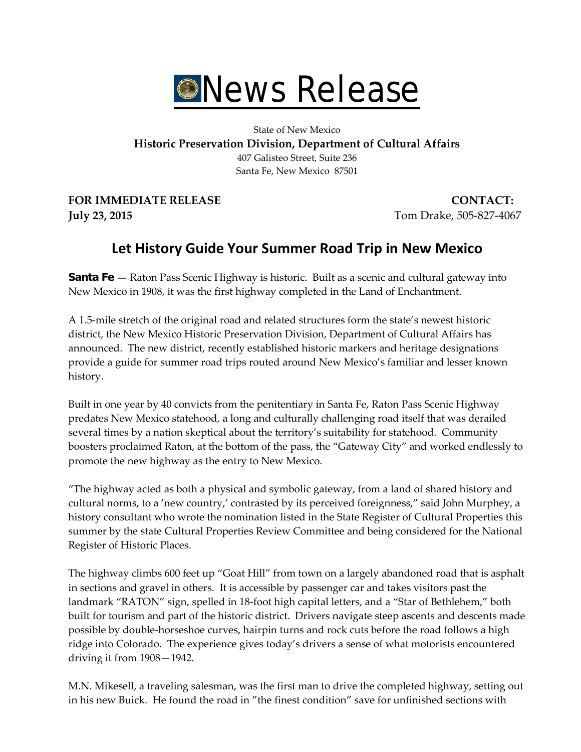

State of New Mexico **Historic Preservation Division, Department of Cultural Affairs** 407 Galisteo Street, Suite 236 Santa Fe, New Mexico 87501

**FOR IMMEDIATE RELEASE CONTACT: July 23, 2015** Tom Drake, 505-827-4067

## **Let History Guide Your Summer Road Trip in New Mexico**

**Santa Fe** — Raton Pass Scenic Highway is historic. Built as a scenic and cultural gateway into New Mexico in 1908, it was the first highway completed in the Land of Enchantment.

A 1.5-mile stretch of the original road and related structures form the state's newest historic district, the New Mexico Historic Preservation Division, Department of Cultural Affairs has announced. The new district, recently established historic markers and heritage designations provide a guide for summer road trips routed around New Mexico's familiar and lesser known history.

Built in one year by 40 convicts from the penitentiary in Santa Fe, Raton Pass Scenic Highway predates New Mexico statehood, a long and culturally challenging road itself that was derailed several times by a nation skeptical about the territory's suitability for statehood. Community boosters proclaimed Raton, at the bottom of the pass, the "Gateway City" and worked endlessly to promote the new highway as the entry to New Mexico.

"The highway acted as both a physical and symbolic gateway, from a land of shared history and cultural norms, to a 'new country,' contrasted by its perceived foreignness," said John Murphey, a history consultant who wrote the nomination listed in the State Register of Cultural Properties this summer by the state Cultural Properties Review Committee and being considered for the National Register of Historic Places.

The highway climbs 600 feet up "Goat Hill" from town on a largely abandoned road that is asphalt in sections and gravel in others. It is accessible by passenger car and takes visitors past the landmark "RATON" sign, spelled in 18-foot high capital letters, and a "Star of Bethlehem," both built for tourism and part of the historic district. Drivers navigate steep ascents and descents made possible by double-horseshoe curves, hairpin turns and rock cuts before the road follows a high ridge into Colorado. The experience gives today's drivers a sense of what motorists encountered driving it from 1908—1942.

M.N. Mikesell, a traveling salesman, was the first man to drive the completed highway, setting out in his new Buick. He found the road in "the finest condition" save for unfinished sections with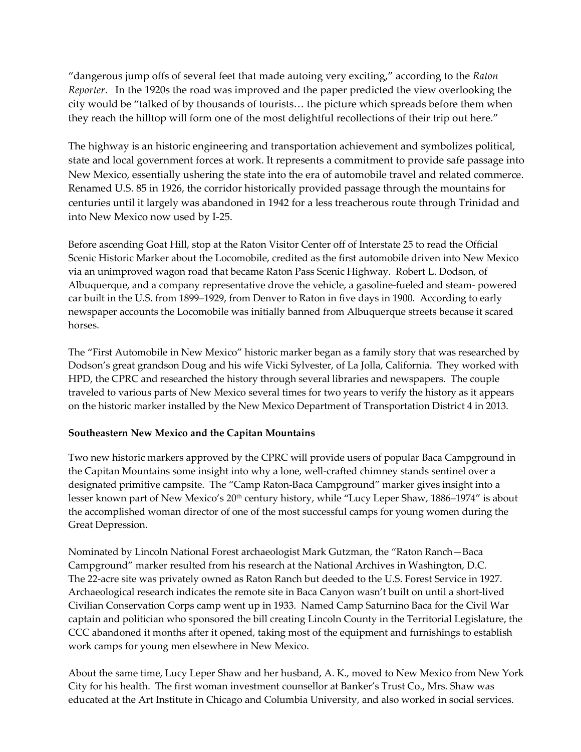"dangerous jump offs of several feet that made autoing very exciting," according to the *Raton Reporter*. In the 1920s the road was improved and the paper predicted the view overlooking the city would be "talked of by thousands of tourists… the picture which spreads before them when they reach the hilltop will form one of the most delightful recollections of their trip out here."

The highway is an historic engineering and transportation achievement and symbolizes political, state and local government forces at work. It represents a commitment to provide safe passage into New Mexico, essentially ushering the state into the era of automobile travel and related commerce. Renamed U.S. 85 in 1926, the corridor historically provided passage through the mountains for centuries until it largely was abandoned in 1942 for a less treacherous route through Trinidad and into New Mexico now used by I-25.

Before ascending Goat Hill, stop at the Raton Visitor Center off of Interstate 25 to read the Official Scenic Historic Marker about the Locomobile, credited as the first automobile driven into New Mexico via an unimproved wagon road that became Raton Pass Scenic Highway. Robert L. Dodson, of Albuquerque, and a company representative drove the vehicle, a gasoline-fueled and steam- powered car built in the U.S. from 1899–1929, from Denver to Raton in five days in 1900. According to early newspaper accounts the Locomobile was initially banned from Albuquerque streets because it scared horses.

The "First Automobile in New Mexico" historic marker began as a family story that was researched by Dodson's great grandson Doug and his wife Vicki Sylvester, of La Jolla, California. They worked with HPD, the CPRC and researched the history through several libraries and newspapers. The couple traveled to various parts of New Mexico several times for two years to verify the history as it appears on the historic marker installed by the New Mexico Department of Transportation District 4 in 2013.

## **Southeastern New Mexico and the Capitan Mountains**

Two new historic markers approved by the CPRC will provide users of popular Baca Campground in the Capitan Mountains some insight into why a lone, well-crafted chimney stands sentinel over a designated primitive campsite. The "Camp Raton-Baca Campground" marker gives insight into a lesser known part of New Mexico's 20<sup>th</sup> century history, while "Lucy Leper Shaw, 1886–1974" is about the accomplished woman director of one of the most successful camps for young women during the Great Depression.

Nominated by Lincoln National Forest archaeologist Mark Gutzman, the "Raton Ranch—Baca Campground" marker resulted from his research at the National Archives in Washington, D.C. The 22-acre site was privately owned as Raton Ranch but deeded to the U.S. Forest Service in 1927. Archaeological research indicates the remote site in Baca Canyon wasn't built on until a short-lived Civilian Conservation Corps camp went up in 1933. Named Camp Saturnino Baca for the Civil War captain and politician who sponsored the bill creating Lincoln County in the Territorial Legislature, the CCC abandoned it months after it opened, taking most of the equipment and furnishings to establish work camps for young men elsewhere in New Mexico.

About the same time, Lucy Leper Shaw and her husband, A. K., moved to New Mexico from New York City for his health. The first woman investment counsellor at Banker's Trust Co., Mrs. Shaw was educated at the Art Institute in Chicago and Columbia University, and also worked in social services.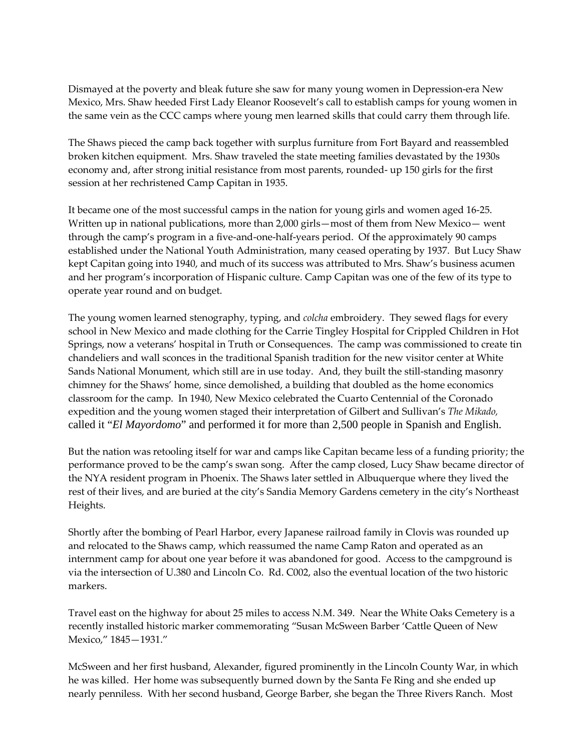Dismayed at the poverty and bleak future she saw for many young women in Depression-era New Mexico, Mrs. Shaw heeded First Lady Eleanor Roosevelt's call to establish camps for young women in the same vein as the CCC camps where young men learned skills that could carry them through life.

The Shaws pieced the camp back together with surplus furniture from Fort Bayard and reassembled broken kitchen equipment. Mrs. Shaw traveled the state meeting families devastated by the 1930s economy and, after strong initial resistance from most parents, rounded- up 150 girls for the first session at her rechristened Camp Capitan in 1935.

It became one of the most successful camps in the nation for young girls and women aged 16-25. Written up in national publications, more than 2,000 girls—most of them from New Mexico— went through the camp's program in a five-and-one-half-years period. Of the approximately 90 camps established under the National Youth Administration, many ceased operating by 1937. But Lucy Shaw kept Capitan going into 1940, and much of its success was attributed to Mrs. Shaw's business acumen and her program's incorporation of Hispanic culture. Camp Capitan was one of the few of its type to operate year round and on budget.

The young women learned stenography, typing, and *colcha* embroidery. They sewed flags for every school in New Mexico and made clothing for the Carrie Tingley Hospital for Crippled Children in Hot Springs, now a veterans' hospital in Truth or Consequences. The camp was commissioned to create tin chandeliers and wall sconces in the traditional Spanish tradition for the new visitor center at White Sands National Monument, which still are in use today. And, they built the still-standing masonry chimney for the Shaws' home, since demolished, a building that doubled as the home economics classroom for the camp. In 1940, New Mexico celebrated the Cuarto Centennial of the Coronado expedition and the young women staged their interpretation of Gilbert and Sullivan's *The Mikado,*  called it "*El Mayordomo*" and performed it for more than 2,500 people in Spanish and English.

But the nation was retooling itself for war and camps like Capitan became less of a funding priority; the performance proved to be the camp's swan song. After the camp closed, Lucy Shaw became director of the NYA resident program in Phoenix. The Shaws later settled in Albuquerque where they lived the rest of their lives, and are buried at the city's Sandia Memory Gardens cemetery in the city's Northeast Heights.

Shortly after the bombing of Pearl Harbor, every Japanese railroad family in Clovis was rounded up and relocated to the Shaws camp, which reassumed the name Camp Raton and operated as an internment camp for about one year before it was abandoned for good. Access to the campground is via the intersection of U.380 and Lincoln Co. Rd. C002, also the eventual location of the two historic markers.

Travel east on the highway for about 25 miles to access N.M. 349. Near the White Oaks Cemetery is a recently installed historic marker commemorating "Susan McSween Barber 'Cattle Queen of New Mexico," 1845—1931."

McSween and her first husband, Alexander, figured prominently in the Lincoln County War, in which he was killed. Her home was subsequently burned down by the Santa Fe Ring and she ended up nearly penniless. With her second husband, George Barber, she began the Three Rivers Ranch. Most